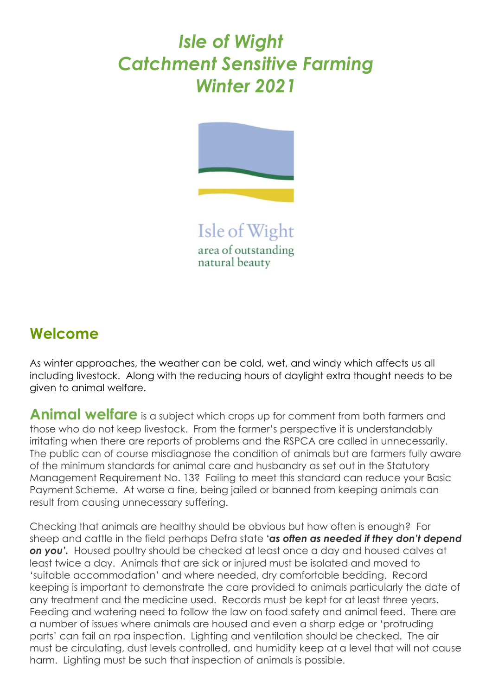## *Isle of Wight Catchment Sensitive Farming Winter 2021*



Isle of Wight area of outstanding natural beauty

## **Welcome**

As winter approaches, the weather can be cold, wet, and windy which affects us all including livestock. Along with the reducing hours of daylight extra thought needs to be given to animal welfare.

**Animal welfare** is a subject which crops up for comment from both farmers and those who do not keep livestock. From the farmer's perspective it is understandably irritating when there are reports of problems and the RSPCA are called in unnecessarily. The public can of course misdiagnose the condition of animals but are farmers fully aware of the minimum standards for animal care and husbandry as set out in the Statutory Management Requirement No. 13? Failing to meet this standard can reduce your Basic Payment Scheme. At worse a fine, being jailed or banned from keeping animals can result from causing unnecessary suffering.

Checking that animals are healthy should be obvious but how often is enough? For sheep and cattle in the field perhaps Defra state **'***as often as needed if they don't depend on you'.* Housed poultry should be checked at least once a day and housed calves at least twice a day. Animals that are sick or injured must be isolated and moved to 'suitable accommodation' and where needed, dry comfortable bedding. Record keeping is important to demonstrate the care provided to animals particularly the date of any treatment and the medicine used. Records must be kept for at least three years. Feeding and watering need to follow the law on food safety and animal feed. There are a number of issues where animals are housed and even a sharp edge or 'protruding parts' can fail an rpa inspection. Lighting and ventilation should be checked. The air must be circulating, dust levels controlled, and humidity keep at a level that will not cause harm. Lighting must be such that inspection of animals is possible.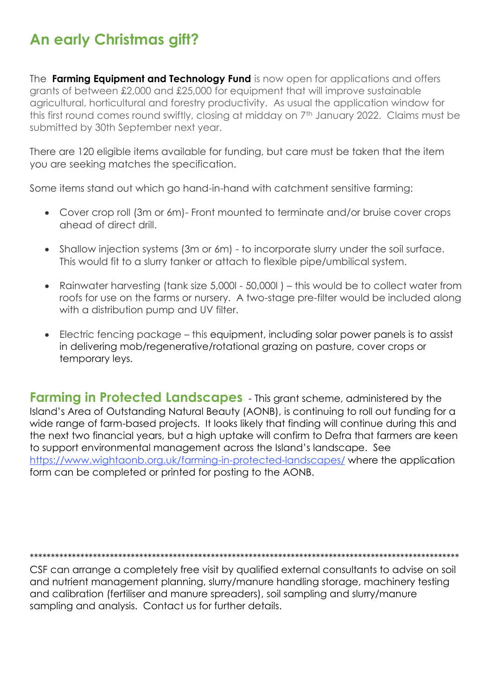## **An early Christmas gift?**

The Farming Equipment and Technology Fund is now open for applications and offers grants of between £2,000 and £25,000 for equipment that will improve sustainable agricultural, horticultural and forestry productivity. As usual the application window for this first round comes round swiftly, closing at midday on 7th January 2022. Claims must be submitted by 30th September next year.

There are 120 eligible items available for funding, but care must be taken that the item you are seeking matches the specification.

Some items stand out which go hand-in-hand with catchment sensitive farming:

- Cover crop roll (3m or 6m)- Front mounted to terminate and/or bruise cover crops ahead of direct drill.
- Shallow injection systems (3m or 6m) to incorporate slurry under the soil surface. This would fit to a slurry tanker or attach to flexible pipe/umbilical system.
- Rainwater harvesting (tank size 5,000I 50,000I) this would be to collect water from roofs for use on the farms or nursery. A two-stage pre-filter would be included along with a distribution pump and UV filter.
- Electric fencing package this equipment, including solar power panels is to assist in delivering mob/regenerative/rotational grazing on pasture, cover crops or temporary leys.

**Farming in Protected Landscapes** - This grant scheme, administered by the Island's Area of Outstanding Natural Beauty (AONB), is continuing to roll out funding for a wide range of farm-based projects. It looks likely that finding will continue during this and the next two financial years, but a high uptake will confirm to Defra that farmers are keen to support environmental management across the Island's landscape. See https://www.wightaonb.org.uk/farming-in-protected-landscapes/ where the application form can be completed or printed for posting to the AONB.

CSF can arrange a completely free visit by qualified external consultants to advise on soil and nutrient management planning, slurry/manure handling storage, machinery testing and calibration (fertiliser and manure spreaders), soil sampling and slurry/manure sampling and analysis. Contact us for further details.